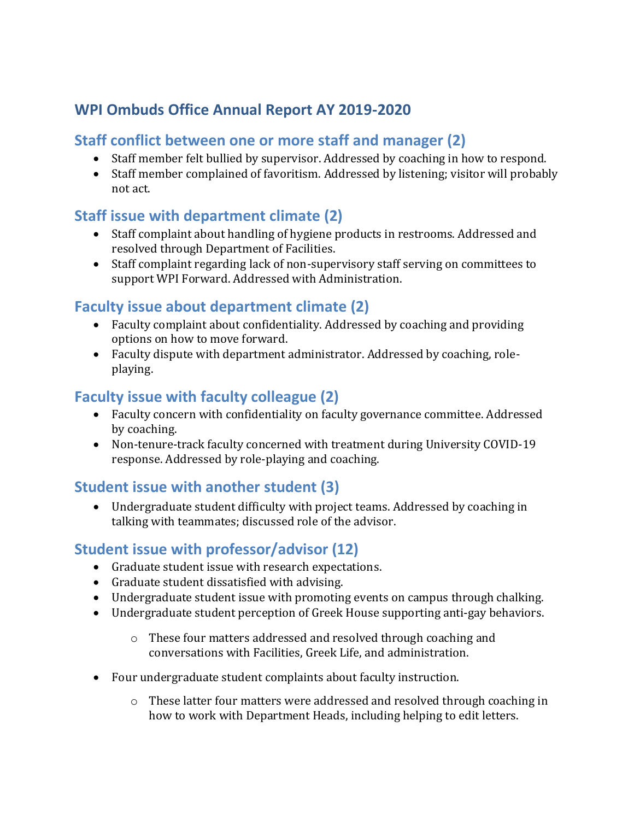# **WPI Ombuds Office Annual Report AY 2019-2020**

#### **Staff conflict between one or more staff and manager (2)**

- Staff member felt bullied by supervisor. Addressed by coaching in how to respond.
- Staff member complained of favoritism. Addressed by listening; visitor will probably not act.

# **Staff issue with department climate (2)**

- Staff complaint about handling of hygiene products in restrooms. Addressed and resolved through Department of Facilities.
- Staff complaint regarding lack of non-supervisory staff serving on committees to support WPI Forward. Addressed with Administration.

### **Faculty issue about department climate (2)**

- Faculty complaint about confidentiality. Addressed by coaching and providing options on how to move forward.
- Faculty dispute with department administrator. Addressed by coaching, roleplaying.

### **Faculty issue with faculty colleague (2)**

- Faculty concern with confidentiality on faculty governance committee. Addressed by coaching.
- Non-tenure-track faculty concerned with treatment during University COVID-19 response. Addressed by role-playing and coaching.

# **Student issue with another student (3)**

• Undergraduate student difficulty with project teams. Addressed by coaching in talking with teammates; discussed role of the advisor.

### **Student issue with professor/advisor (12)**

- Graduate student issue with research expectations.
- Graduate student dissatisfied with advising.
- Undergraduate student issue with promoting events on campus through chalking.
- Undergraduate student perception of Greek House supporting anti-gay behaviors.
	- o These four matters addressed and resolved through coaching and conversations with Facilities, Greek Life, and administration.
- Four undergraduate student complaints about faculty instruction.
	- o These latter four matters were addressed and resolved through coaching in how to work with Department Heads, including helping to edit letters.